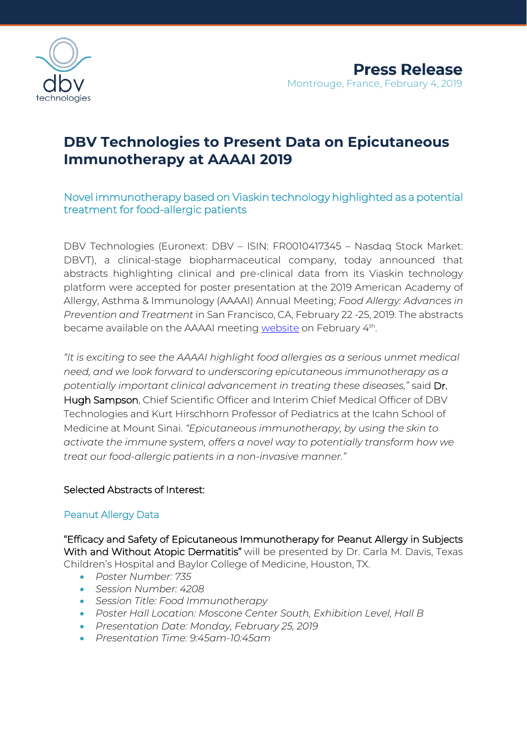

# **DBV Technologies to Present Data on Epicutaneous Immunotherapy at AAAAI 2019**

# Novel immunotherapy based on Viaskin technology highlighted as a potential treatment for food-allergic patients

DBV Technologies (Euronext: DBV – ISIN: FR0010417345 – Nasdaq Stock Market: DBVT), a clinical-stage biopharmaceutical company, today announced that abstracts highlighting clinical and pre-clinical data from its Viaskin technology platform were accepted for poster presentation at the 2019 American Academy of Allergy, Asthma & Immunology (AAAAI) Annual Meeting; *Food Allergy: Advances in Prevention and Treatment* in San Francisco, CA, February 22 -25, 2019. The abstracts became available on the AAAAI meeting [website](https://www.jacionline.org/issue/S0091-6749(18)X0004-9) on February 4<sup>th</sup>.

*"It is exciting to see the AAAAI highlight food allergies as a serious unmet medical need, and we look forward to underscoring epicutaneous immunotherapy as a potentially important clinical advancement in treating these diseases,"* said Dr. Hugh Sampson, Chief Scientific Officer and Interim Chief Medical Officer of DBV Technologies and Kurt Hirschhorn Professor of Pediatrics at the Icahn School of Medicine at Mount Sinai. *"Epicutaneous immunotherapy, by using the skin to activate the immune system, offers a novel way to potentially transform how we treat our food-allergic patients in a non-invasive manner."*

## Selected Abstracts of Interest:

## Peanut Allergy Data

"Efficacy and Safety of Epicutaneous Immunotherapy for Peanut Allergy in Subjects With and Without Atopic Dermatitis" will be presented by Dr. Carla M. Davis, Texas Children's Hospital and Baylor College of Medicine, Houston, TX.

- *Poster Number: 735*
- *Session Number: 4208*
- *Session Title: Food Immunotherapy*
- *Poster Hall Location: Moscone Center South, Exhibition Level, Hall B*
- *Presentation Date: Monday, February 25, 2019*
- *Presentation Time: 9:45am-10:45am*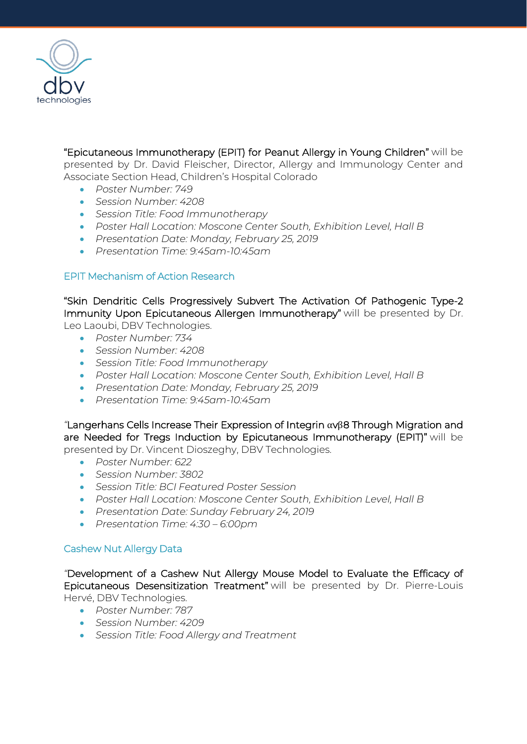

"Epicutaneous Immunotherapy (EPIT) for Peanut Allergy in Young Children" will be presented by Dr. David Fleischer, Director, Allergy and Immunology Center and Associate Section Head, Children's Hospital Colorado

- *Poster Number: 749*
- *Session Number: 4208*
- *Session Title: Food Immunotherapy*
- *Poster Hall Location: Moscone Center South, Exhibition Level, Hall B*
- *Presentation Date: Monday, February 25, 2019*
- *Presentation Time: 9:45am-10:45am*

#### EPIT Mechanism of Action Research

"Skin Dendritic Cells Progressively Subvert The Activation Of Pathogenic Type-2 Immunity Upon Epicutaneous Allergen Immunotherapy" will be presented by Dr. Leo Laoubi, DBV Technologies.

- *Poster Number: 734*
- *Session Number: 4208*
- *Session Title: Food Immunotherapy*
- *Poster Hall Location: Moscone Center South, Exhibition Level, Hall B*
- *Presentation Date: Monday, February 25, 2019*
- *Presentation Time: 9:45am-10:45am*

*"*Langerhans Cells Increase Their Expression of Integrin αvβ8 Through Migration and are Needed for Tregs Induction by Epicutaneous Immunotherapy (EPIT)" will be presented by Dr. Vincent Dioszeghy, DBV Technologies.

- *Poster Number: 622*
- *Session Number: 3802*
- *Session Title: BCI Featured Poster Session*
- *Poster Hall Location: Moscone Center South, Exhibition Level, Hall B*
- *Presentation Date: Sunday February 24, 2019*
- *Presentation Time: 4:30 – 6:00pm*

## Cashew Nut Allergy Data

*"*Development of a Cashew Nut Allergy Mouse Model to Evaluate the Efficacy of Epicutaneous Desensitization Treatment" will be presented by Dr. Pierre-Louis Hervé, DBV Technologies.

- *Poster Number: 787*
- *Session Number: 4209*
- *Session Title: Food Allergy and Treatment*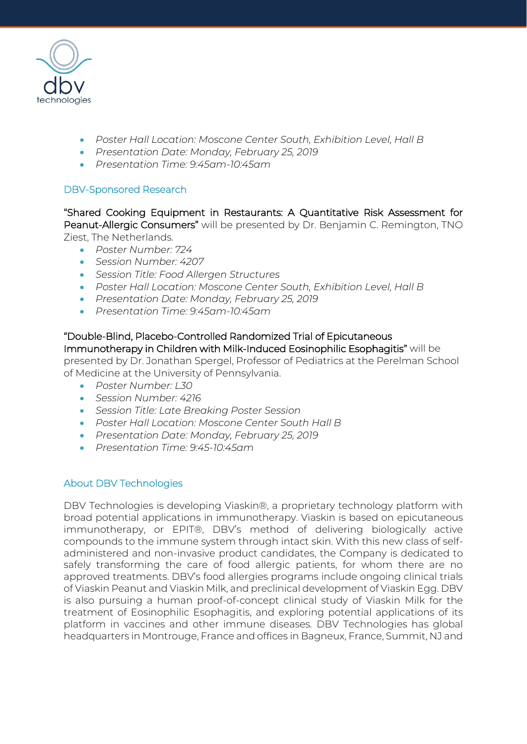

- *Poster Hall Location: Moscone Center South, Exhibition Level, Hall B*
- *Presentation Date: Monday, February 25, 2019*
- *Presentation Time: 9:45am-10:45am*

#### DBV-Sponsored Research

"Shared Cooking Equipment in Restaurants: A Quantitative Risk Assessment for Peanut-Allergic Consumers" will be presented by Dr. Benjamin C. Remington, TNO Ziest, The Netherlands.

- *Poster Number: 724*
- *Session Number: 4207*
- *Session Title: Food Allergen Structures*
- *Poster Hall Location: Moscone Center South, Exhibition Level, Hall B*
- *Presentation Date: Monday, February 25, 2019*
- *Presentation Time: 9:45am-10:45am*

"Double-Blind, Placebo-Controlled Randomized Trial of Epicutaneous Immunotherapy in Children with Milk-Induced Eosinophilic Esophagitis" will be presented by Dr. Jonathan Spergel, Professor of Pediatrics at the Perelman School of Medicine at the University of Pennsylvania.

- *Poster Number: L30*
- *Session Number: 4216*
- *Session Title: Late Breaking Poster Session*
- *Poster Hall Location: Moscone Center South Hall B*
- *Presentation Date: Monday, February 25, 2019*
- *Presentation Time: 9:45-10:45am*

## About DBV Technologies

DBV Technologies is developing Viaskin®, a proprietary technology platform with broad potential applications in immunotherapy. Viaskin is based on epicutaneous immunotherapy, or EPIT®, DBV's method of delivering biologically active compounds to the immune system through intact skin. With this new class of selfadministered and non-invasive product candidates, the Company is dedicated to safely transforming the care of food allergic patients, for whom there are no approved treatments. DBV's food allergies programs include ongoing clinical trials of Viaskin Peanut and Viaskin Milk, and preclinical development of Viaskin Egg. DBV is also pursuing a human proof-of-concept clinical study of Viaskin Milk for the treatment of Eosinophilic Esophagitis, and exploring potential applications of its platform in vaccines and other immune diseases. DBV Technologies has global headquarters in Montrouge, France and offices in Bagneux, France, Summit, NJ and